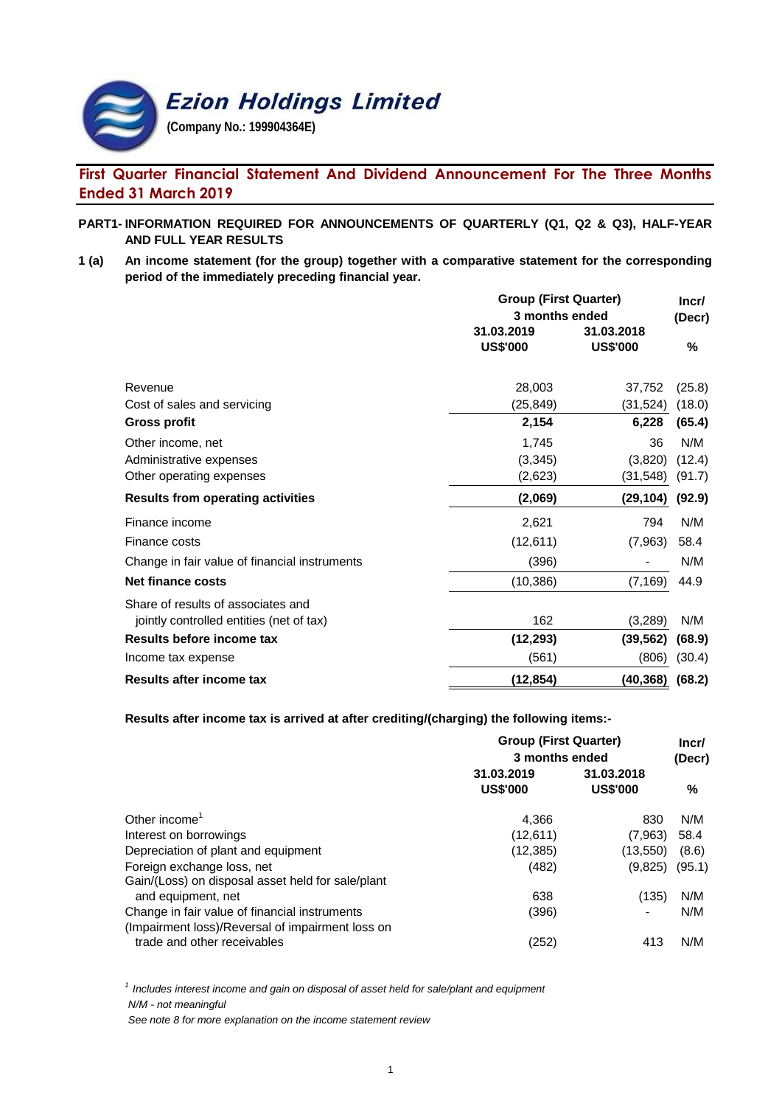

# **First Quarter Financial Statement And Dividend Announcement For The Three Months Ended 31 March 2019**

### **PART1- INFORMATION REQUIRED FOR ANNOUNCEMENTS OF QUARTERLY (Q1, Q2 & Q3), HALF-YEAR AND FULL YEAR RESULTS**

**1 (a) An income statement (for the group) together with a comparative statement for the corresponding period of the immediately preceding financial year.**

|                                               | <b>Group (First Quarter)</b> |                      | Incr/  |  |
|-----------------------------------------------|------------------------------|----------------------|--------|--|
|                                               | 3 months ended               |                      | (Decr) |  |
|                                               | 31.03.2019                   | 31.03.2018           |        |  |
|                                               | <b>US\$'000</b>              | <b>US\$'000</b>      | %      |  |
| Revenue                                       | 28,003                       | 37,752               | (25.8) |  |
| Cost of sales and servicing                   | (25,849)                     | (31, 524)            | (18.0) |  |
| <b>Gross profit</b>                           | 2,154                        | 6,228                | (65.4) |  |
| Other income, net                             | 1,745                        | 36                   | N/M    |  |
| Administrative expenses                       | (3,345)                      | (3,820)              | (12.4) |  |
| Other operating expenses                      | (2,623)                      | (31, 548)            | (91.7) |  |
| <b>Results from operating activities</b>      | (2,069)                      | (29, 104)            | (92.9) |  |
| Finance income                                | 2,621                        | 794                  | N/M    |  |
| Finance costs                                 | (12, 611)                    | (7,963)              | 58.4   |  |
| Change in fair value of financial instruments | (396)                        |                      | N/M    |  |
| <b>Net finance costs</b>                      | (10, 386)                    | (7, 169)             | 44.9   |  |
| Share of results of associates and            |                              |                      |        |  |
| jointly controlled entities (net of tax)      | 162                          | (3,289)              | N/M    |  |
| Results before income tax                     | (12, 293)                    | (39, 562)            | (68.9) |  |
| Income tax expense                            | (561)                        | (806)                | (30.4) |  |
| Results after income tax                      | (12, 854)                    | $(40, 368)$ $(68.2)$ |        |  |

**Results after income tax is arrived at after crediting/(charging) the following items:-**

|                                                                                                   | <b>Group (First Quarter)</b><br>3 months ended |                               |        |
|---------------------------------------------------------------------------------------------------|------------------------------------------------|-------------------------------|--------|
|                                                                                                   |                                                |                               |        |
|                                                                                                   | 31.03.2019<br><b>US\$'000</b>                  | 31.03.2018<br><b>US\$'000</b> | %      |
| Other income <sup><math>1</math></sup>                                                            | 4.366                                          | 830                           | N/M    |
| Interest on borrowings                                                                            | (12,611)                                       | (7,963)                       | 58.4   |
| Depreciation of plant and equipment                                                               | (12, 385)                                      | (13,550)                      | (8.6)  |
| Foreign exchange loss, net<br>Gain/(Loss) on disposal asset held for sale/plant                   | (482)                                          | (9,825)                       | (95.1) |
| and equipment, net                                                                                | 638                                            | (135)                         | N/M    |
| Change in fair value of financial instruments<br>(Impairment loss)/Reversal of impairment loss on | (396)                                          |                               | N/M    |
| trade and other receivables                                                                       | (252)                                          | 413                           | N/M    |

*1 Includes interest income and gain on disposal of asset held for sale/plant and equipment N/M - not meaningful*

*See note 8 for more explanation on the income statement review*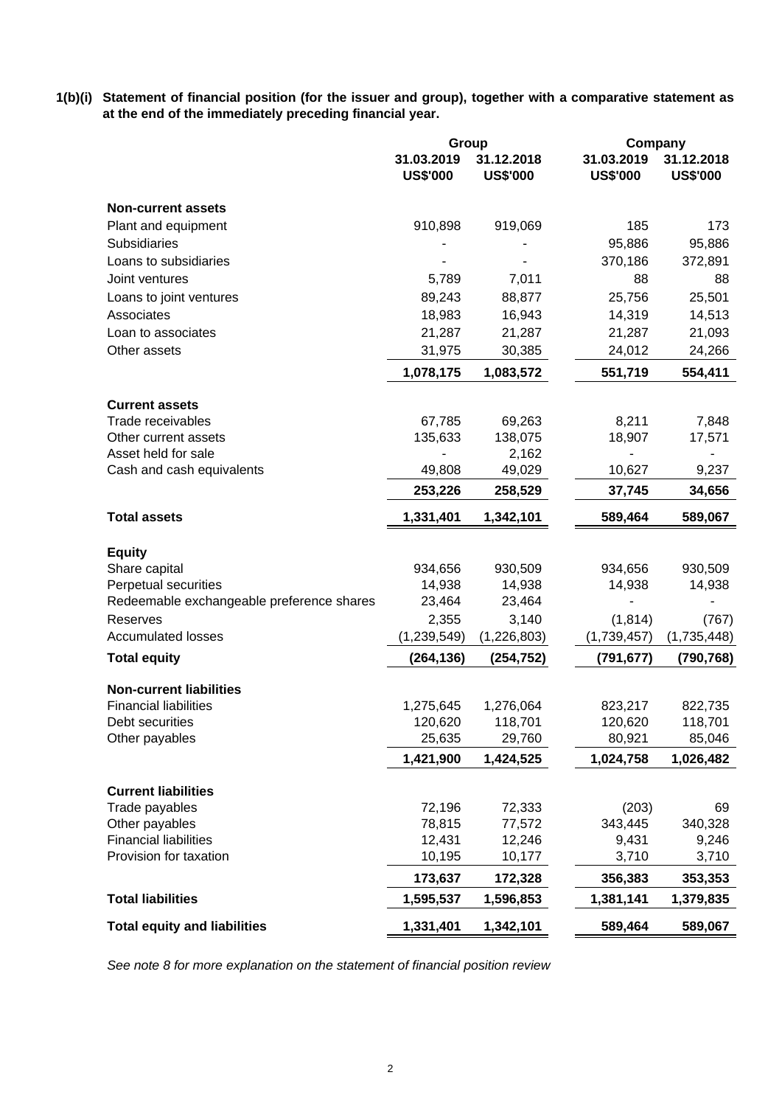**1(b)(i) Statement of financial position (for the issuer and group), together with a comparative statement as at the end of the immediately preceding financial year.**

|                                           | Group                         |                               | Company                       |                               |  |
|-------------------------------------------|-------------------------------|-------------------------------|-------------------------------|-------------------------------|--|
|                                           | 31.03.2019<br><b>US\$'000</b> | 31.12.2018<br><b>US\$'000</b> | 31.03.2019<br><b>US\$'000</b> | 31.12.2018<br><b>US\$'000</b> |  |
| <b>Non-current assets</b>                 |                               |                               |                               |                               |  |
| Plant and equipment                       | 910,898                       | 919,069                       | 185                           | 173                           |  |
| <b>Subsidiaries</b>                       |                               |                               | 95,886                        | 95,886                        |  |
| Loans to subsidiaries                     |                               |                               | 370,186                       | 372,891                       |  |
| Joint ventures                            | 5,789                         | 7,011                         | 88                            | 88                            |  |
| Loans to joint ventures                   | 89,243                        | 88,877                        | 25,756                        | 25,501                        |  |
| Associates                                | 18,983                        | 16,943                        | 14,319                        | 14,513                        |  |
| Loan to associates                        | 21,287                        | 21,287                        | 21,287                        | 21,093                        |  |
| Other assets                              | 31,975                        | 30,385                        | 24,012                        | 24,266                        |  |
|                                           | 1,078,175                     | 1,083,572                     | 551,719                       | 554,411                       |  |
| <b>Current assets</b>                     |                               |                               |                               |                               |  |
| Trade receivables                         | 67,785                        | 69,263                        | 8,211                         | 7,848                         |  |
| Other current assets                      | 135,633                       | 138,075                       | 18,907                        | 17,571                        |  |
| Asset held for sale                       |                               | 2,162                         |                               |                               |  |
| Cash and cash equivalents                 | 49,808                        | 49,029                        | 10,627                        | 9,237                         |  |
|                                           | 253,226                       | 258,529                       | 37,745                        | 34,656                        |  |
| <b>Total assets</b>                       | 1,331,401                     | 1,342,101                     | 589,464                       | 589,067                       |  |
| <b>Equity</b>                             |                               |                               |                               |                               |  |
| Share capital                             | 934,656                       | 930,509                       | 934,656                       | 930,509                       |  |
| Perpetual securities                      | 14,938                        | 14,938                        | 14,938                        | 14,938                        |  |
| Redeemable exchangeable preference shares | 23,464                        | 23,464                        |                               |                               |  |
| Reserves                                  | 2,355                         | 3,140                         | (1, 814)                      | (767)                         |  |
| <b>Accumulated losses</b>                 | (1, 239, 549)                 | (1,226,803)                   | (1,739,457)                   | (1,735,448)                   |  |
| <b>Total equity</b>                       | (264, 136)                    | (254, 752)                    | (791, 677)                    | (790, 768)                    |  |
| <b>Non-current liabilities</b>            |                               |                               |                               |                               |  |
| <b>Financial liabilities</b>              | 1,275,645                     | 1,276,064                     | 823,217                       | 822,735                       |  |
| Debt securities                           | 120,620                       | 118,701                       | 120,620                       | 118,701                       |  |
| Other payables                            | 25,635                        | 29,760                        | 80,921                        | 85,046                        |  |
|                                           | 1,421,900                     | 1,424,525                     | 1,024,758                     | 1,026,482                     |  |
| <b>Current liabilities</b>                |                               |                               |                               |                               |  |
| Trade payables                            | 72,196                        | 72,333                        | (203)                         | 69                            |  |
| Other payables                            | 78,815                        | 77,572                        | 343,445                       | 340,328                       |  |
| <b>Financial liabilities</b>              | 12,431                        | 12,246                        | 9,431                         | 9,246                         |  |
| Provision for taxation                    | 10,195                        | 10,177                        | 3,710                         | 3,710                         |  |
|                                           | 173,637                       | 172,328                       | 356,383                       | 353,353                       |  |
| <b>Total liabilities</b>                  | 1,595,537                     | 1,596,853                     | 1,381,141                     | 1,379,835                     |  |
| <b>Total equity and liabilities</b>       | 1,331,401                     | 1,342,101                     | 589,464                       | 589,067                       |  |

*See note 8 for more explanation on the statement of financial position review*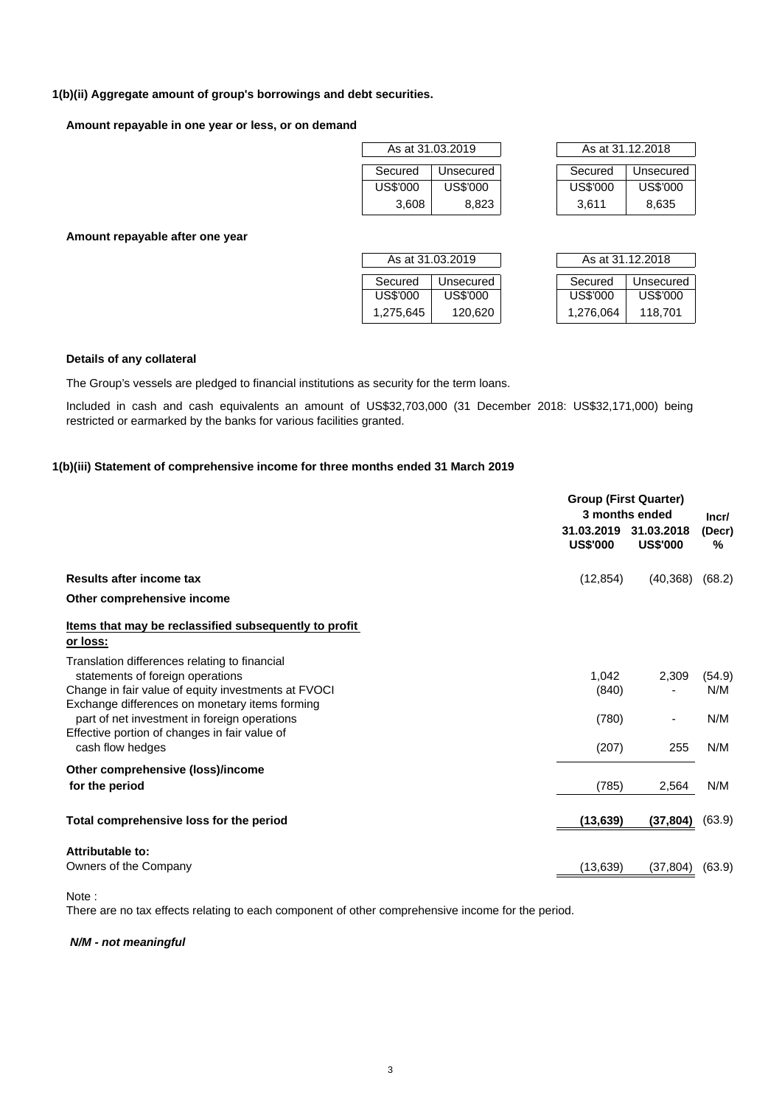#### **1(b)(ii) Aggregate amount of group's borrowings and debt securities.**

**Amount repayable in one year or less, or on demand**

| As at 31.03.2019 |           |  |  |  |  |  |
|------------------|-----------|--|--|--|--|--|
| Secured          | Unsecured |  |  |  |  |  |
| US\$'000         | US\$'000  |  |  |  |  |  |
| 3,608            | 8,823     |  |  |  |  |  |

| As at 31.03.2019 |           |  | As at 31.12.2018 |           |
|------------------|-----------|--|------------------|-----------|
| Secured          | Unsecured |  | Secured          | Unsecured |
| US\$'000         | US\$'000  |  | US\$'000         | US\$'000  |
| 3.608            | 8.823     |  | 3.611            | 8.635     |

**Amount repayable after one year**

| As at 31.03.2019     |           |  |  |  |
|----------------------|-----------|--|--|--|
| Secured              | Unsecured |  |  |  |
| US\$'000<br>US\$'000 |           |  |  |  |
| 1,275,645<br>120,620 |           |  |  |  |

| As at 31.03.2019 |           | As at 31.12.2018 |           |           |  |
|------------------|-----------|------------------|-----------|-----------|--|
| Secured          | Unsecured |                  | Secured   | Unsecured |  |
| US\$'000         | US\$'000  |                  | US\$'000  | US\$'000  |  |
| 1,275,645        | 120,620   |                  | 1,276,064 | 118,701   |  |

#### **Details of any collateral**

The Group's vessels are pledged to financial institutions as security for the term loans.

Included in cash and cash equivalents an amount of US\$32,703,000 (31 December 2018: US\$32,171,000) being restricted or earmarked by the banks for various facilities granted.

## **1(b)(iii) Statement of comprehensive income for three months ended 31 March 2019**

|                                                                                                                                                                                            |                               | <b>Group (First Quarter)</b><br>3 months ended |                      |
|--------------------------------------------------------------------------------------------------------------------------------------------------------------------------------------------|-------------------------------|------------------------------------------------|----------------------|
|                                                                                                                                                                                            | 31.03.2019<br><b>US\$'000</b> | 31.03.2018<br><b>US\$'000</b>                  | Incr/<br>(Decr)<br>% |
| Results after income tax                                                                                                                                                                   | (12, 854)                     | (40, 368)                                      | (68.2)               |
| Other comprehensive income                                                                                                                                                                 |                               |                                                |                      |
| Items that may be reclassified subsequently to profit<br>or loss:                                                                                                                          |                               |                                                |                      |
| Translation differences relating to financial<br>statements of foreign operations<br>Change in fair value of equity investments at FVOCI<br>Exchange differences on monetary items forming | 1,042<br>(840)                | 2,309                                          | (54.9)<br>N/M        |
| part of net investment in foreign operations<br>Effective portion of changes in fair value of<br>cash flow hedges                                                                          | (780)<br>(207)                | ٠<br>255                                       | N/M<br>N/M           |
| Other comprehensive (loss)/income<br>for the period                                                                                                                                        | (785)                         | 2,564                                          | N/M                  |
| Total comprehensive loss for the period                                                                                                                                                    | (13, 639)                     | (37, 804)                                      | (63.9)               |
| Attributable to:                                                                                                                                                                           |                               |                                                |                      |
| Owners of the Company                                                                                                                                                                      | (13,639)                      | (37, 804)                                      | (63.9)               |

Note :

There are no tax effects relating to each component of other comprehensive income for the period.

*N/M - not meaningful*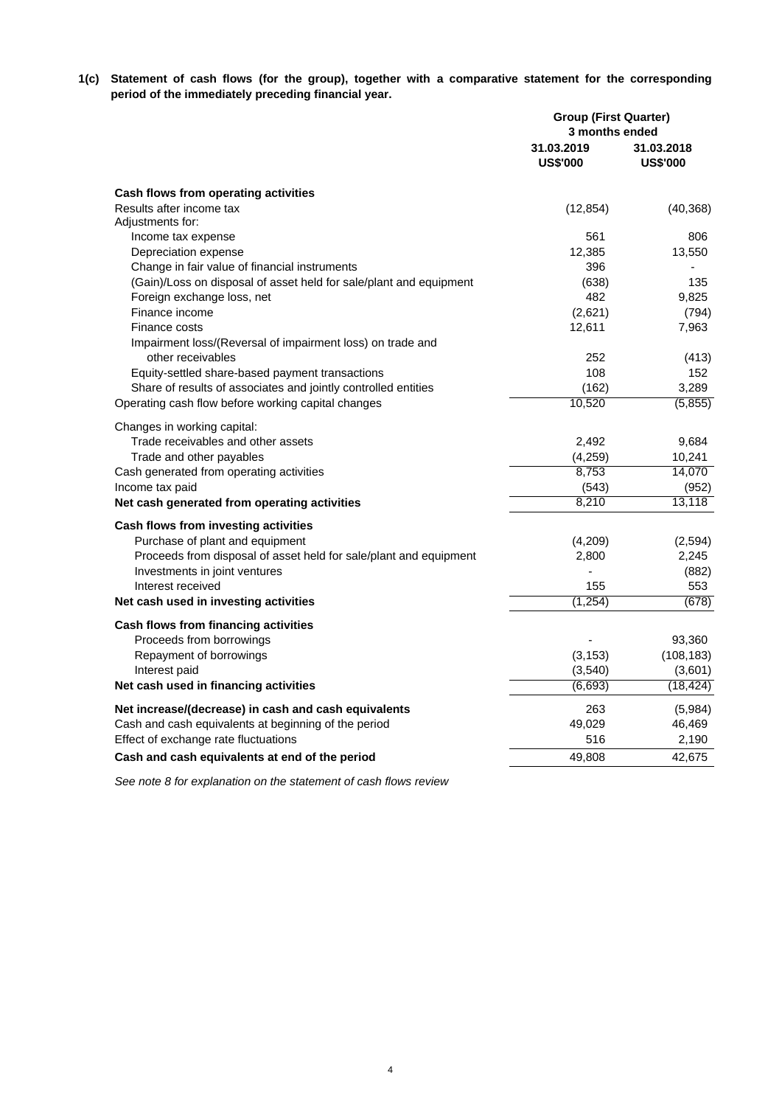**1(c) Statement of cash flows (for the group), together with a comparative statement for the corresponding period of the immediately preceding financial year.**

|                                                                    | <b>Group (First Quarter)</b><br>3 months ended |                               |  |
|--------------------------------------------------------------------|------------------------------------------------|-------------------------------|--|
|                                                                    | 31.03.2019<br><b>US\$'000</b>                  | 31.03.2018<br><b>US\$'000</b> |  |
| Cash flows from operating activities                               |                                                |                               |  |
| Results after income tax                                           | (12, 854)                                      | (40, 368)                     |  |
| Adjustments for:                                                   |                                                |                               |  |
| Income tax expense                                                 | 561                                            | 806                           |  |
| Depreciation expense                                               | 12,385                                         | 13,550                        |  |
| Change in fair value of financial instruments                      | 396                                            |                               |  |
| (Gain)/Loss on disposal of asset held for sale/plant and equipment | (638)                                          | 135                           |  |
| Foreign exchange loss, net                                         | 482                                            | 9,825                         |  |
| Finance income                                                     | (2,621)                                        | (794)                         |  |
| Finance costs                                                      | 12,611                                         | 7,963                         |  |
| Impairment loss/(Reversal of impairment loss) on trade and         |                                                |                               |  |
| other receivables                                                  | 252                                            | (413)                         |  |
| Equity-settled share-based payment transactions                    | 108                                            | 152                           |  |
| Share of results of associates and jointly controlled entities     | (162)                                          | 3,289                         |  |
| Operating cash flow before working capital changes                 | 10,520                                         | (5,855)                       |  |
|                                                                    |                                                |                               |  |
| Changes in working capital:                                        |                                                |                               |  |
| Trade receivables and other assets                                 | 2,492                                          | 9,684                         |  |
| Trade and other payables                                           | (4,259)<br>8,753                               | 10,241<br>14,070              |  |
| Cash generated from operating activities                           |                                                |                               |  |
| Income tax paid                                                    | (543)<br>8,210                                 | (952)<br>13,118               |  |
| Net cash generated from operating activities                       |                                                |                               |  |
| Cash flows from investing activities                               |                                                |                               |  |
| Purchase of plant and equipment                                    | (4,209)                                        | (2,594)                       |  |
| Proceeds from disposal of asset held for sale/plant and equipment  | 2,800                                          | 2,245                         |  |
| Investments in joint ventures                                      |                                                | (882)                         |  |
| Interest received                                                  | 155                                            | 553                           |  |
| Net cash used in investing activities                              | (1, 254)                                       | (678)                         |  |
|                                                                    |                                                |                               |  |
| Cash flows from financing activities<br>Proceeds from borrowings   |                                                | 93,360                        |  |
| Repayment of borrowings                                            | (3, 153)                                       | (108, 183)                    |  |
| Interest paid                                                      | (3,540)                                        | (3,601)                       |  |
| Net cash used in financing activities                              | (6, 693)                                       | (18, 424)                     |  |
|                                                                    |                                                |                               |  |
| Net increase/(decrease) in cash and cash equivalents               | 263                                            | (5,984)                       |  |
| Cash and cash equivalents at beginning of the period               | 49,029                                         | 46,469                        |  |
| Effect of exchange rate fluctuations                               | 516                                            | 2,190                         |  |
| Cash and cash equivalents at end of the period                     | 49,808                                         | 42,675                        |  |

*See note 8 for explanation on the statement of cash flows review*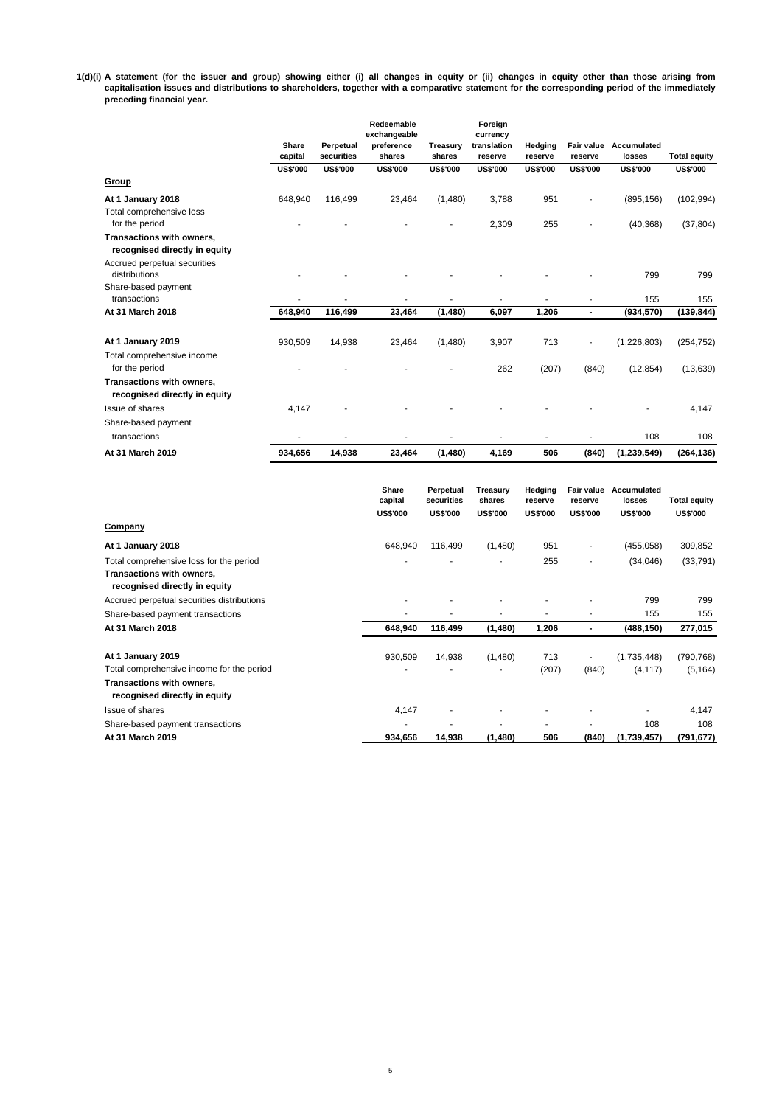#### 1(d)(i) A statement (for the issuer and group) showing either (i) all changes in equity or (ii) changes in equity other than those arising from capitalisation issues and distributions to shareholders, together with a comparative statement for the corresponding period of the immediately **preceding financial year.**

|                                                            | Share<br>capital | Perpetual<br>securities | Redeemable<br>exchangeable<br>preference<br>shares | Treasury<br>shares | Foreign<br>currency<br>translation<br>reserve | Hedging<br>reserve | reserve                  | Fair value Accumulated<br>losses | <b>Total equity</b> |
|------------------------------------------------------------|------------------|-------------------------|----------------------------------------------------|--------------------|-----------------------------------------------|--------------------|--------------------------|----------------------------------|---------------------|
|                                                            | <b>US\$'000</b>  | <b>US\$'000</b>         | <b>US\$'000</b>                                    | <b>US\$'000</b>    | <b>US\$'000</b>                               | <b>US\$'000</b>    | <b>US\$'000</b>          | <b>US\$'000</b>                  | <b>US\$'000</b>     |
| Group                                                      |                  |                         |                                                    |                    |                                               |                    |                          |                                  |                     |
| At 1 January 2018                                          | 648,940          | 116,499                 | 23,464                                             | (1,480)            | 3,788                                         | 951                | ٠                        | (895, 156)                       | (102, 994)          |
| Total comprehensive loss                                   |                  |                         |                                                    |                    |                                               |                    |                          |                                  |                     |
| for the period                                             |                  |                         |                                                    | $\blacksquare$     | 2,309                                         | 255                | ٠                        | (40, 368)                        | (37, 804)           |
| Transactions with owners,                                  |                  |                         |                                                    |                    |                                               |                    |                          |                                  |                     |
| recognised directly in equity                              |                  |                         |                                                    |                    |                                               |                    |                          |                                  |                     |
| Accrued perpetual securities                               |                  |                         |                                                    |                    |                                               |                    |                          |                                  |                     |
| distributions                                              |                  |                         |                                                    |                    |                                               |                    |                          | 799                              | 799                 |
| Share-based payment<br>transactions                        |                  |                         | ä,                                                 |                    |                                               |                    |                          | 155                              | 155                 |
|                                                            |                  |                         |                                                    |                    |                                               |                    |                          |                                  |                     |
| At 31 March 2018                                           | 648,940          | 116,499                 | 23,464                                             | (1,480)            | 6,097                                         | 1,206              | $\blacksquare$           | (934, 570)                       | (139, 844)          |
| At 1 January 2019                                          | 930,509          | 14,938                  | 23,464                                             | (1,480)            | 3,907                                         | 713                | $\overline{\phantom{a}}$ | (1,226,803)                      | (254, 752)          |
| Total comprehensive income                                 |                  |                         |                                                    |                    |                                               |                    |                          |                                  |                     |
| for the period                                             |                  |                         |                                                    |                    | 262                                           | (207)              | (840)                    | (12, 854)                        | (13, 639)           |
| Transactions with owners,<br>recognised directly in equity |                  |                         |                                                    |                    |                                               |                    |                          |                                  |                     |
| Issue of shares                                            | 4,147            |                         |                                                    |                    |                                               |                    |                          |                                  | 4,147               |
| Share-based payment                                        |                  |                         |                                                    |                    |                                               |                    |                          |                                  |                     |
| transactions                                               |                  |                         |                                                    |                    |                                               |                    |                          | 108                              | 108                 |
| At 31 March 2019                                           | 934.656          | 14,938                  | 23,464                                             | (1,480)            | 4,169                                         | 506                | (840)                    | (1, 239, 549)                    | (264, 136)          |

|                                                            | Share<br>capital | Perpetual<br>securities | Treasury<br>shares | Hedging<br>reserve | <b>Fair value</b><br>reserve | Accumulated<br>losses | <b>Total equity</b> |
|------------------------------------------------------------|------------------|-------------------------|--------------------|--------------------|------------------------------|-----------------------|---------------------|
|                                                            | <b>US\$'000</b>  | <b>US\$'000</b>         | <b>US\$'000</b>    | <b>US\$'000</b>    | <b>US\$'000</b>              | <b>US\$'000</b>       | <b>US\$'000</b>     |
| Company                                                    |                  |                         |                    |                    |                              |                       |                     |
| At 1 January 2018                                          | 648,940          | 116,499                 | (1,480)            | 951                | $\overline{\phantom{a}}$     | (455, 058)            | 309,852             |
| Total comprehensive loss for the period                    |                  | ۰                       | ٠                  | 255                | $\overline{\phantom{a}}$     | (34,046)              | (33, 791)           |
| Transactions with owners,<br>recognised directly in equity |                  |                         |                    |                    |                              |                       |                     |
| Accrued perpetual securities distributions                 |                  |                         |                    |                    |                              | 799                   | 799                 |
| Share-based payment transactions                           | ۰                | ۰                       |                    | ٠                  | $\overline{\phantom{a}}$     | 155                   | 155                 |
| At 31 March 2018                                           | 648,940          | 116,499                 | (1,480)            | 1,206              | $\overline{\phantom{a}}$     | (488, 150)            | 277,015             |
| At 1 January 2019                                          | 930,509          | 14,938                  | (1,480)            | 713                | $\overline{\phantom{a}}$     | (1,735,448)           | (790, 768)          |
| Total comprehensive income for the period                  |                  | ٠                       | ٠                  | (207)              | (840)                        | (4, 117)              | (5, 164)            |
| Transactions with owners,<br>recognised directly in equity |                  |                         |                    |                    |                              |                       |                     |
| Issue of shares                                            | 4,147            | $\overline{a}$          |                    |                    |                              | ۰                     | 4,147               |
| Share-based payment transactions                           | ٠                | ٠                       | ٠                  | ٠                  |                              | 108                   | 108                 |
| At 31 March 2019                                           | 934,656          | 14,938                  | (1,480)            | 506                | (840)                        | (1,739,457)           | (791, 677)          |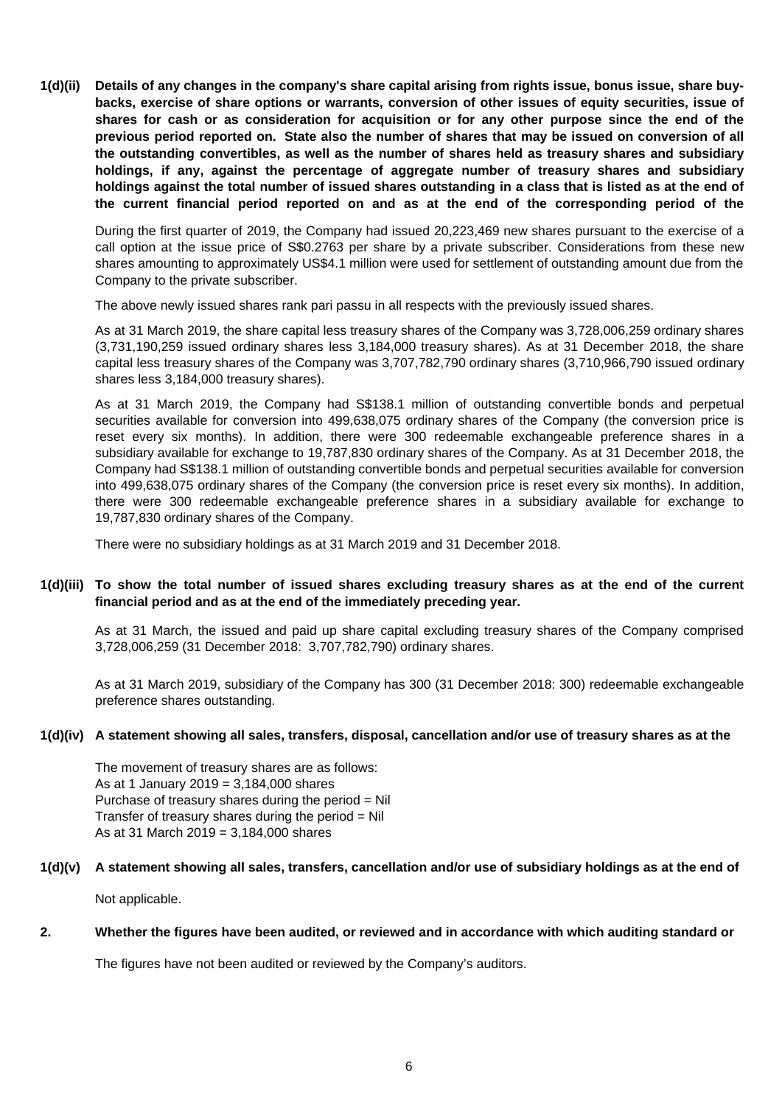**1(d)(ii) Details of any changes in the company's share capital arising from rights issue, bonus issue, share buybacks, exercise of share options or warrants, conversion of other issues of equity securities, issue of shares for cash or as consideration for acquisition or for any other purpose since the end of the** previous period reported on. State also the number of shares that may be issued on conversion of all **the outstanding convertibles, as well as the number of shares held as treasury shares and subsidiary holdings, if any, against the percentage of aggregate number of treasury shares and subsidiary** holdings against the total number of issued shares outstanding in a class that is listed as at the end of **the current financial period reported on and as at the end of the corresponding period of the**

During the first quarter of 2019, the Company had issued 20,223,469 new shares pursuant to the exercise of a call option at the issue price of S\$0.2763 per share by a private subscriber. Considerations from these new shares amounting to approximately US\$4.1 million were used for settlement of outstanding amount due from the Company to the private subscriber.

The above newly issued shares rank pari passu in all respects with the previously issued shares.

As at 31 March 2019, the share capital less treasury shares of the Company was 3,728,006,259 ordinary shares (3,731,190,259 issued ordinary shares less 3,184,000 treasury shares). As at 31 December 2018, the share capital less treasury shares of the Company was 3,707,782,790 ordinary shares (3,710,966,790 issued ordinary shares less 3,184,000 treasury shares).

As at 31 March 2019, the Company had S\$138.1 million of outstanding convertible bonds and perpetual securities available for conversion into 499,638,075 ordinary shares of the Company (the conversion price is reset every six months). In addition, there were 300 redeemable exchangeable preference shares in a subsidiary available for exchange to 19,787,830 ordinary shares of the Company. As at 31 December 2018, the Company had S\$138.1 million of outstanding convertible bonds and perpetual securities available for conversion into 499,638,075 ordinary shares of the Company (the conversion price is reset every six months). In addition, there were 300 redeemable exchangeable preference shares in a subsidiary available for exchange to 19,787,830 ordinary shares of the Company.

There were no subsidiary holdings as at 31 March 2019 and 31 December 2018.

### 1(d)(iii) To show the total number of issued shares excluding treasury shares as at the end of the current **financial period and as at the end of the immediately preceding year.**

As at 31 March, the issued and paid up share capital excluding treasury shares of the Company comprised 3,728,006,259 (31 December 2018: 3,707,782,790) ordinary shares.

As at 31 March 2019, subsidiary of the Company has 300 (31 December 2018: 300) redeemable exchangeable preference shares outstanding.

### **1(d)(iv) A statement showing all sales, transfers, disposal, cancellation and/or use of treasury shares as at the**

The movement of treasury shares are as follows: As at 1 January 2019 = 3,184,000 shares Purchase of treasury shares during the period = Nil Transfer of treasury shares during the period  $=$  Nil As at 31 March 2019 = 3,184,000 shares

#### **1(d)(v) A statement showing all sales, transfers, cancellation and/or use of subsidiary holdings as at the end of**

Not applicable.

#### **2. Whether the figures have been audited, or reviewed and in accordance with which auditing standard or**

The figures have not been audited or reviewed by the Company's auditors.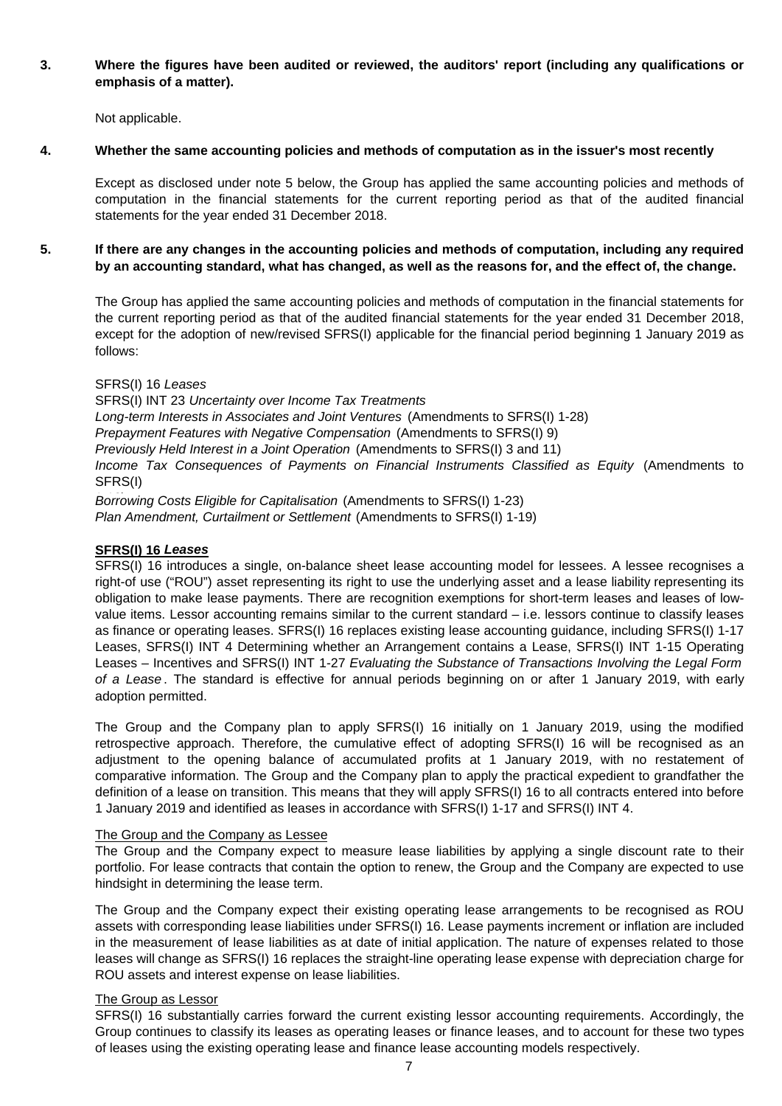#### **3. Where the figures have been audited or reviewed, the auditors' report (including any qualifications or emphasis of a matter).**

Not applicable.

#### **4. Whether the same accounting policies and methods of computation as in the issuer's most recently**

Except as disclosed under note 5 below, the Group has applied the same accounting policies and methods of computation in the financial statements for the current reporting period as that of the audited financial statements for the year ended 31 December 2018.

#### **5. If there are any changes in the accounting policies and methods of computation, including any required by an accounting standard, what has changed, as well as the reasons for, and the effect of, the change.**

The Group has applied the same accounting policies and methods of computation in the financial statements for the current reporting period as that of the audited financial statements for the year ended 31 December 2018, except for the adoption of new/revised SFRS(I) applicable for the financial period beginning 1 January 2019 as follows:

### SFRS(I) 16 *Leases*

SFRS(I) INT 23 *Uncertainty over Income Tax Treatments Long-term Interests in Associates and Joint Ventures* (Amendments to SFRS(I) 1-28) *Prepayment Features with Negative Compensation* (Amendments to SFRS(I) 9) *Previously Held Interest in a Joint Operation* (Amendments to SFRS(I) 3 and 11) *Income Tax Consequences of Payments on Financial Instruments Classified as Equity* (Amendments to SFRS(I) 1-12) *Borrowing Costs Eligible for Capitalisation* (Amendments to SFRS(I) 1-23)

*Plan Amendment, Curtailment or Settlement* (Amendments to SFRS(I) 1-19)

#### **SFRS(I) 16** *Leases*

SFRS(I) 16 introduces a single, on-balance sheet lease accounting model for lessees. A lessee recognises a right-of use ("ROU") asset representing its right to use the underlying asset and a lease liability representing its obligation to make lease payments. There are recognition exemptions for short-term leases and leases of lowvalue items. Lessor accounting remains similar to the current standard – i.e. lessors continue to classify leases as finance or operating leases. SFRS(I) 16 replaces existing lease accounting guidance, including SFRS(I) 1-17 Leases, SFRS(I) INT 4 Determining whether an Arrangement contains a Lease, SFRS(I) INT 1-15 Operating Leases – Incentives and SFRS(I) INT 1-27 *Evaluating the Substance of Transactions Involving the Legal Form of a Lease* . The standard is effective forannual periods beginning on or after 1 January 2019, with early adoption permitted.

The Group and the Company plan to apply SFRS(I) 16 initially on 1 January 2019, using the modified retrospective approach. Therefore, the cumulative effect of adopting SFRS(I) 16 will be recognised as an adjustment to the opening balance of accumulated profits at 1 January 2019, with no restatement of comparative information. The Group and the Company plan to apply the practical expedient to grandfather the definition of a lease on transition. This means that they will apply SFRS(I) 16 to allcontracts entered into before 1 January 2019 and identified as leases in accordance with SFRS(I) 1-17 and SFRS(I) INT 4.

#### The Group and the Company as Lessee

The Group and the Company expect to measure lease liabilities by applying a single discount rate to their portfolio. For lease contracts that contain the option to renew, the Group and the Company are expected to use hindsight in determining the lease term.

The Group and the Company expect their existing operating lease arrangements to be recognised as ROU assets with corresponding lease liabilities under SFRS(I) 16. Lease payments increment or inflation are included in the measurement of lease liabilities as at date of initial application. The nature of expenses related to those leases will change as SFRS(I) 16 replaces the straight-line operating lease expense with depreciation charge for ROU assets and interest expense on lease liabilities.

### The Group as Lessor

SFRS(I) 16 substantially carries forward the current existing lessor accounting requirements. Accordingly, the Group continues to classify its leases as operating leases or finance leases, and to account for these two types of leases using the existing operating lease and finance lease accounting models respectively.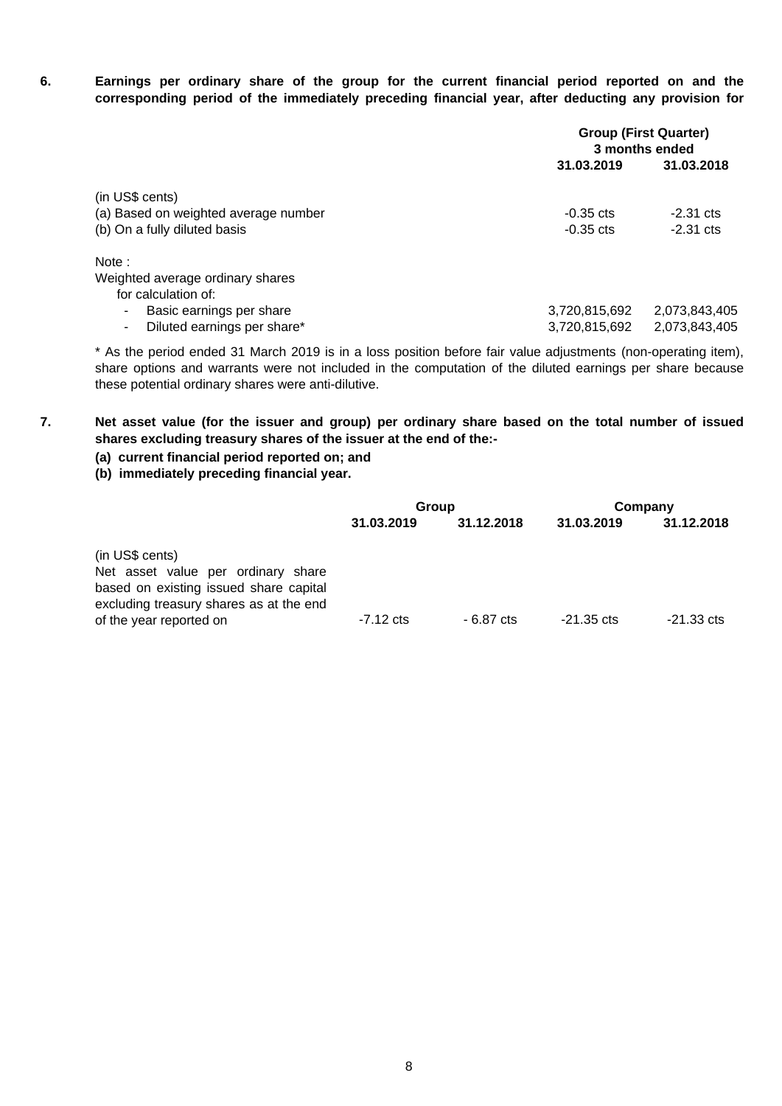**6. Earnings per ordinary share ofthe group for the current financial period reported on and the corresponding period of the immediately preceding financial year, after deducting any provision for**

|                                      | <b>Group (First Quarter)</b><br>3 months ended |               |  |  |  |
|--------------------------------------|------------------------------------------------|---------------|--|--|--|
|                                      | 31.03.2019                                     | 31.03.2018    |  |  |  |
| (in US\$ cents)                      |                                                |               |  |  |  |
| (a) Based on weighted average number | $-0.35$ cts                                    | $-2.31$ cts   |  |  |  |
| (b) On a fully diluted basis         | $-0.35$ cts                                    | $-2.31$ cts   |  |  |  |
| Note:                                |                                                |               |  |  |  |
| Weighted average ordinary shares     |                                                |               |  |  |  |
| for calculation of:                  |                                                |               |  |  |  |
| Basic earnings per share<br>۰        | 3,720,815,692                                  | 2,073,843,405 |  |  |  |
| Diluted earnings per share*          | 3,720,815,692                                  | 2,073,843,405 |  |  |  |

\* As the period ended 31 March 2019 is in a loss position before fair value adjustments (non-operating item), share options and warrants were not included in the computation of the diluted earnings per share because these potential ordinary shares were anti-dilutive.

**7. Net asset value (for the issuer and group) per ordinary share based on the total number of issued shares excluding treasury shares of the issuer at the end of the:-**

### **(a) current financial period reported on; and**

**(b) immediately preceding financial year.**

|                                                                                                                                                                       | Group       |            | Company              |                      |
|-----------------------------------------------------------------------------------------------------------------------------------------------------------------------|-------------|------------|----------------------|----------------------|
|                                                                                                                                                                       | 31.03.2019  | 31.12.2018 | 31.03.2019           | 31.12.2018           |
| (in US\$ cents)<br>Net asset value per ordinary share<br>based on existing issued share capital<br>excluding treasury shares as at the end<br>of the year reported on | $-7.12$ cts | - 6.87 cts | $-21.35 \text{ cts}$ | $-21.33 \text{ cts}$ |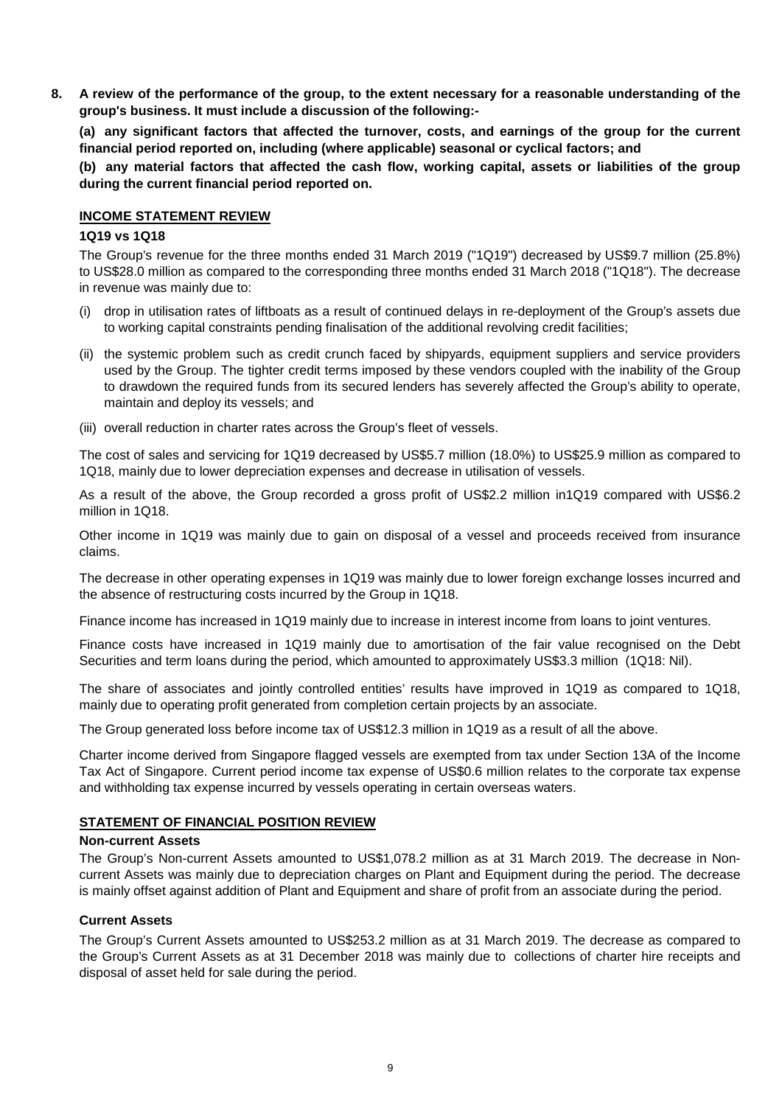**8.** A review of the performance of the group, to the extent necessary for a reasonable understanding of the **group's business. It must include a discussion of the following:-**

**(a) any significant factors that affected the turnover, costs, and earnings of the group for the current financial period reported on, including (where applicable) seasonal or cyclical factors; and**

**(b) any material factors that affected the cash flow, working capital, assets or liabilities of the group during the current financial period reported on.**

#### **INCOME STATEMENT REVIEW**

#### **1Q19 vs 1Q18**

The Group's revenue for the three months ended 31 March 2019 ("1Q19") decreased by US\$9.7 million (25.8%) to US\$28.0 million as compared to the corresponding three months ended 31 March 2018 ("1Q18"). The decrease in revenue was mainly due to:

- (i) drop in utilisation rates of liftboats as a result of continued delays in re-deployment of the Group's assets due to working capital constraints pending finalisation of the additional revolving credit facilities;
- (ii) the systemic problem such as credit crunch faced by shipyards, equipment suppliers and service providers used by the Group. The tighter credit terms imposed by these vendors coupled with the inability of the Group to drawdown the required funds from its secured lenders has severely affected the Group's ability to operate, maintain and deploy its vessels; and
- (iii) overall reduction in charter rates across the Group's fleet of vessels.

The cost of sales and servicing for 1Q19 decreased by US\$5.7 million (18.0%) to US\$25.9 million as compared to 1Q18, mainly due to lower depreciation expenses and decrease in utilisation of vessels.

As a result of the above, the Group recorded a gross profit of US\$2.2 million in1Q19 compared with US\$6.2 million in 1Q18.

Other income in 1Q19 was mainly due to gain on disposal of a vessel and proceeds received from insurance claims.

The decrease in other operating expenses in 1Q19 was mainly due to lower foreign exchange losses incurred and the absence of restructuring costs incurred by the Group in 1Q18.

Finance income has increased in 1Q19 mainly due to increase in interest income from loans to joint ventures.

Finance costs have increased in 1Q19 mainly due to amortisation of the fair value recognised on the Debt Securities and term loans during the period, which amounted to approximately US\$3.3 million (1Q18: Nil).

The share of associates and jointly controlled entities' results have improved in 1Q19 as compared to 1Q18, mainly due to operating profit generated from completion certain projects by an associate.

The Group generated loss before income tax of US\$12.3 million in 1Q19 as a result of all the above.

Charter income derived from Singapore flagged vessels are exempted from tax under Section 13A of the Income Tax Act of Singapore. Current period income tax expense of US\$0.6 million relates to the corporate tax expense and withholding tax expense incurred by vessels operating in certain overseas waters.

#### **STATEMENT OF FINANCIAL POSITION REVIEW**

#### **Non-current Assets**

The Group's Non-current Assets amounted to US\$1,078.2 million as at 31 March 2019. The decrease in Noncurrent Assets was mainly due to depreciation charges on Plant and Equipment during the period. The decrease is mainly offset against addition of Plant and Equipment and share of profit from an associate during the period.

### **Current Assets**

The Group's Current Assets amounted to US\$253.2 million as at 31 March 2019. The decrease as compared to the Group's Current Assets as at 31 December 2018 was mainly due to collections of charter hire receipts and disposal of asset held for sale during the period.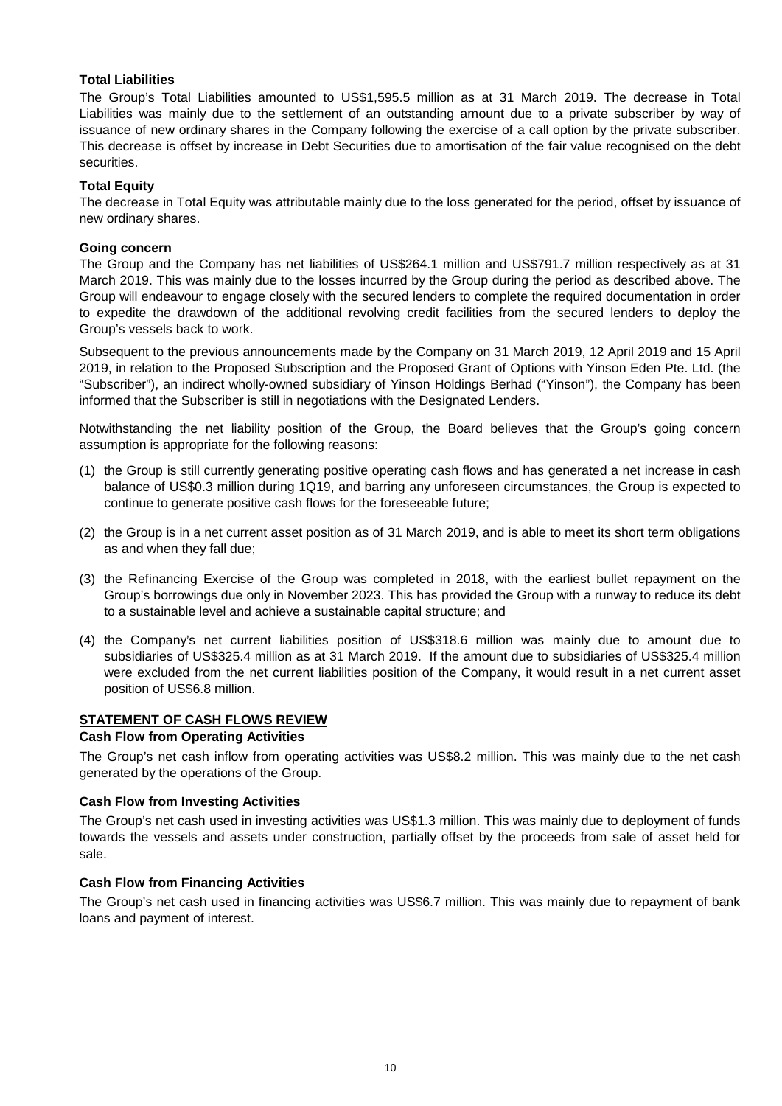### **Total Liabilities**

The Group's Total Liabilities amounted to US\$1,595.5 million as at 31 March 2019. The decrease in Total Liabilities was mainly due to the settlement of an outstanding amount due to a private subscriber by way of issuance of new ordinary shares in the Company following the exercise of a call option by the private subscriber. This decrease is offset by increase in Debt Securities due to amortisation of the fair value recognised on the debt securities.

#### **Total Equity**

The decrease in Total Equity was attributable mainly due to the loss generated for the period, offset by issuance of new ordinary shares.

#### **Going concern**

The Group and the Company has net liabilities of US\$264.1 million and US\$791.7 million respectively as at 31 March 2019. This was mainly due to the losses incurred by the Group during the period as described above. The Group will endeavour to engage closely with the secured lenders to complete the required documentation in order to expedite the drawdown of the additional revolving credit facilities from the secured lenders to deploy the Group's vessels back to work.

Subsequent to the previous announcements made by the Company on 31 March 2019, 12 April 2019 and 15 April 2019, in relation to the Proposed Subscription and the Proposed Grant of Options with Yinson Eden Pte.Ltd. (the "Subscriber"), an indirect wholly-owned subsidiary of Yinson Holdings Berhad ("Yinson"), the Company has been informed that the Subscriber is still in negotiations with the Designated Lenders.

Notwithstanding the net liability position of the Group, the Board believes that the Group's going concern assumption is appropriate for the following reasons:

- (1) the Group is still currently generating positive operating cash flows and has generated a net increase in cash balance of US\$0.3 million during 1Q19, and barring any unforeseen circumstances, the Group is expected to continue to generate positive cash flows for the foreseeable future;
- (2) the Group is in a net current asset position as of 31 March 2019, and is able to meet its short term obligations as and when they fall due;
- (3) the Refinancing Exercise of the Group was completed in 2018, with the earliest bullet repayment on the Group's borrowings due only in November 2023. This has provided the Group with a runway to reduce its debt to a sustainable level and achieve a sustainable capital structure; and
- (4) the Company's net current liabilities position of US\$318.6 million was mainly due to amount due to subsidiaries of US\$325.4 million as at 31 March 2019. If the amount due to subsidiaries of US\$325.4 million were excluded from the net current liabilities position of the Company, it would result in a net current asset position of US\$6.8 million.

## **STATEMENT OF CASH FLOWS REVIEW**

#### **Cash Flow from Operating Activities**

The Group's net cash inflow from operating activities was US\$8.2 million. This was mainly due to the net cash generated by the operations of the Group.

#### **Cash Flow from Investing Activities**

The Group's net cash used in investing activities was US\$1.3 million. This was mainly due to deployment of funds towards the vessels and assets under construction, partially offset by the proceeds from sale of asset held for sale.

#### .**Cash Flow from Financing Activities**

The Group's net cash used in financing activities was US\$6.7 million. This was mainly due to repayment of bank loans and payment of interest.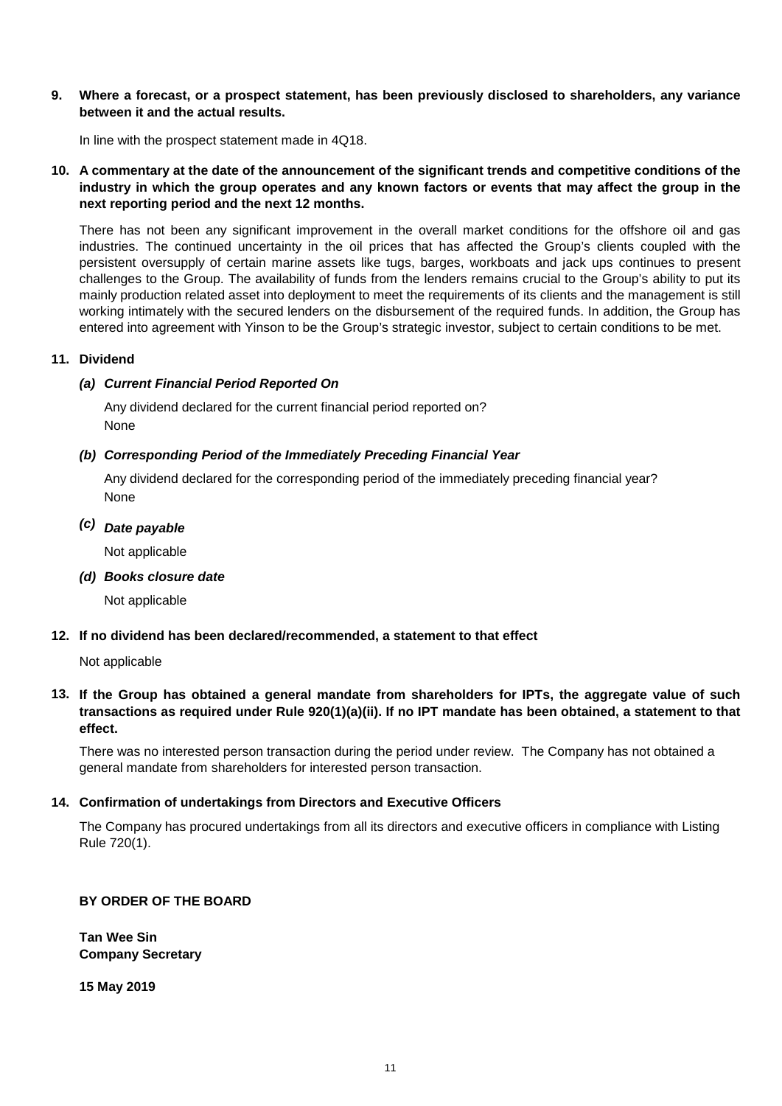#### **9. Where a forecast, or a prospect statement, has been previously disclosed to shareholders, any variance between it and the actual results.**

In line with the prospect statement made in 4Q18.

#### 10. A commentary at the date of the announcement of the significant trends and competitive conditions of the industry in which the group operates and any known factors or events that may affect the group in the **next reporting period and the next 12 months.**

There has not been any significant improvement in the overall market conditions for the offshore oil and gas industries. The continued uncertainty in the oil prices that has affected the Group's clients coupled with the persistent oversupply of certain marine assets like tugs, barges, workboats and jack ups continues to present challenges to the Group. The availability of funds from the lenders remains crucial to the Group's ability to put its mainly production related asset into deployment to meet the requirements of its clients and the management is still working intimately with the secured lenders on the disbursement of the required funds. In addition, the Group has entered into agreement with Yinson to be the Group's strategic investor, subject to certain conditions to be met.

### **11. Dividend**

# *(a) Current Financial Period Reported On*

Any dividend declared for the current financial period reported on? None

# *(b) Corresponding Period of the Immediately Preceding Financial Year*

None Any dividend declared for the corresponding period of the immediately preceding financial year?

# *(c) Date payable*

Not applicable

*(d) Books closure date*

Not applicable

### **12. If no dividend has been declared/recommended, a statement to that effect**

### Not applicable

## 13. If the Group has obtained a general mandate from shareholders for IPTs, the aggregate value of such transactions as required under Rule 920(1)(a)(ii). If no IPT mandate has been obtained, a statement to that **effect.**

There was no interested person transaction during the period under review. The Company has not obtained a general mandate from shareholders for interested person transaction.

### **14. Confirmation of undertakings from Directors and Executive Officers**

The Company has procured undertakings from all its directors and executive officers in compliance with Listing Rule 720(1).

## **BY ORDER OF THE BOARD**

**Tan Wee Sin Company Secretary**

**15 May 2019**